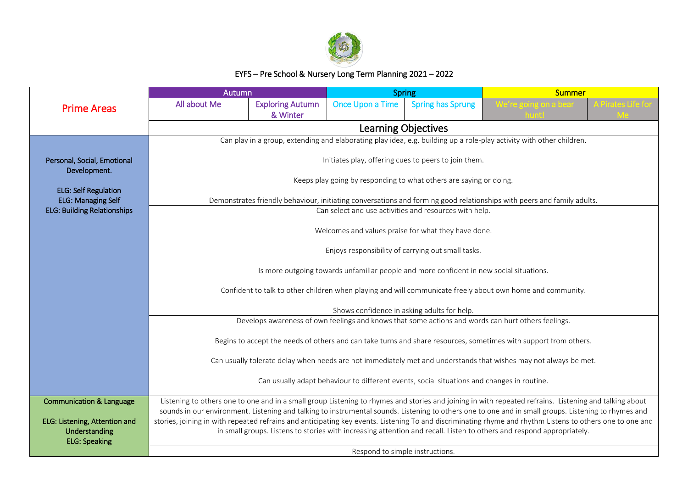

## EYFS – Pre School & Nursery Long Term Planning 2021 – 2022

|                                                                 | Autumn                                                                                                                                                                                                                                               |                                 | <b>Spring</b>    |                                                                    | <b>Summer</b>                                                                                                                                             |  |  |  |
|-----------------------------------------------------------------|------------------------------------------------------------------------------------------------------------------------------------------------------------------------------------------------------------------------------------------------------|---------------------------------|------------------|--------------------------------------------------------------------|-----------------------------------------------------------------------------------------------------------------------------------------------------------|--|--|--|
| <b>Prime Areas</b>                                              | All about Me                                                                                                                                                                                                                                         | <b>Exploring Autumn</b>         | Once Upon a Time | <b>Spring has Sprung</b>                                           |                                                                                                                                                           |  |  |  |
|                                                                 |                                                                                                                                                                                                                                                      | & Winter<br>Learning Objectives |                  |                                                                    |                                                                                                                                                           |  |  |  |
|                                                                 | Can play in a group, extending and elaborating play idea, e.g. building up a role-play activity with other children.                                                                                                                                 |                                 |                  |                                                                    |                                                                                                                                                           |  |  |  |
|                                                                 |                                                                                                                                                                                                                                                      |                                 |                  |                                                                    |                                                                                                                                                           |  |  |  |
| Personal, Social, Emotional<br>Development.                     |                                                                                                                                                                                                                                                      |                                 |                  | Initiates play, offering cues to peers to join them.               |                                                                                                                                                           |  |  |  |
|                                                                 |                                                                                                                                                                                                                                                      |                                 |                  | Keeps play going by responding to what others are saying or doing. |                                                                                                                                                           |  |  |  |
| <b>ELG: Self Regulation</b>                                     |                                                                                                                                                                                                                                                      |                                 |                  |                                                                    |                                                                                                                                                           |  |  |  |
| <b>ELG: Managing Self</b><br><b>ELG: Building Relationships</b> |                                                                                                                                                                                                                                                      |                                 |                  | Can select and use activities and resources with help.             | Demonstrates friendly behaviour, initiating conversations and forming good relationships with peers and family adults.                                    |  |  |  |
|                                                                 |                                                                                                                                                                                                                                                      |                                 |                  |                                                                    |                                                                                                                                                           |  |  |  |
|                                                                 |                                                                                                                                                                                                                                                      |                                 |                  | Welcomes and values praise for what they have done.                |                                                                                                                                                           |  |  |  |
|                                                                 | Enjoys responsibility of carrying out small tasks.                                                                                                                                                                                                   |                                 |                  |                                                                    |                                                                                                                                                           |  |  |  |
|                                                                 |                                                                                                                                                                                                                                                      |                                 |                  |                                                                    |                                                                                                                                                           |  |  |  |
|                                                                 | Is more outgoing towards unfamiliar people and more confident in new social situations.<br>Confident to talk to other children when playing and will communicate freely about own home and community.<br>Shows confidence in asking adults for help. |                                 |                  |                                                                    |                                                                                                                                                           |  |  |  |
|                                                                 |                                                                                                                                                                                                                                                      |                                 |                  |                                                                    |                                                                                                                                                           |  |  |  |
|                                                                 |                                                                                                                                                                                                                                                      |                                 |                  |                                                                    |                                                                                                                                                           |  |  |  |
|                                                                 | Develops awareness of own feelings and knows that some actions and words can hurt others feelings.                                                                                                                                                   |                                 |                  |                                                                    |                                                                                                                                                           |  |  |  |
|                                                                 | Begins to accept the needs of others and can take turns and share resources, sometimes with support from others.                                                                                                                                     |                                 |                  |                                                                    |                                                                                                                                                           |  |  |  |
|                                                                 |                                                                                                                                                                                                                                                      |                                 |                  |                                                                    |                                                                                                                                                           |  |  |  |
|                                                                 | Can usually tolerate delay when needs are not immediately met and understands that wishes may not always be met.                                                                                                                                     |                                 |                  |                                                                    |                                                                                                                                                           |  |  |  |
|                                                                 | Can usually adapt behaviour to different events, social situations and changes in routine.                                                                                                                                                           |                                 |                  |                                                                    |                                                                                                                                                           |  |  |  |
| <b>Communication &amp; Language</b>                             |                                                                                                                                                                                                                                                      |                                 |                  |                                                                    | Listening to others one to one and in a small group Listening to rhymes and stories and joining in with repeated refrains. Listening and talking about    |  |  |  |
|                                                                 |                                                                                                                                                                                                                                                      |                                 |                  |                                                                    | sounds in our environment. Listening and talking to instrumental sounds. Listening to others one to one and in small groups. Listening to rhymes and      |  |  |  |
| ELG: Listening, Attention and<br>Understanding                  |                                                                                                                                                                                                                                                      |                                 |                  |                                                                    | stories, joining in with repeated refrains and anticipating key events. Listening To and discriminating rhyme and rhythm Listens to others one to one and |  |  |  |
| <b>ELG: Speaking</b>                                            | in small groups. Listens to stories with increasing attention and recall. Listen to others and respond appropriately.                                                                                                                                |                                 |                  |                                                                    |                                                                                                                                                           |  |  |  |
|                                                                 | Respond to simple instructions.                                                                                                                                                                                                                      |                                 |                  |                                                                    |                                                                                                                                                           |  |  |  |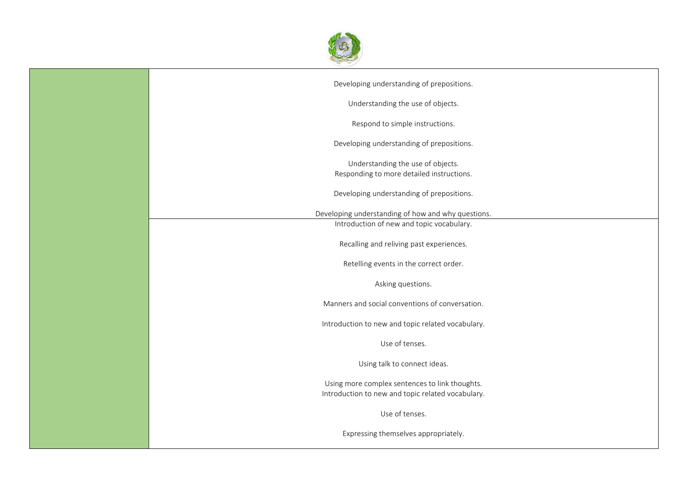

| Developing understanding of prepositions.                                                           |
|-----------------------------------------------------------------------------------------------------|
| Understanding the use of objects.                                                                   |
| Respond to simple instructions.                                                                     |
| Developing understanding of prepositions.                                                           |
| Understanding the use of objects.<br>Responding to more detailed instructions.                      |
| Developing understanding of prepositions.                                                           |
| Developing understanding of how and why questions.                                                  |
| Introduction of new and topic vocabulary.                                                           |
| Recalling and reliving past experiences.                                                            |
| Retelling events in the correct order.                                                              |
| Asking questions.                                                                                   |
| Manners and social conventions of conversation.                                                     |
| Introduction to new and topic related vocabulary.                                                   |
| Use of tenses.                                                                                      |
| Using talk to connect ideas.                                                                        |
| Using more complex sentences to link thoughts.<br>Introduction to new and topic related vocabulary. |
| Use of tenses.                                                                                      |
| Expressing themselves appropriately.                                                                |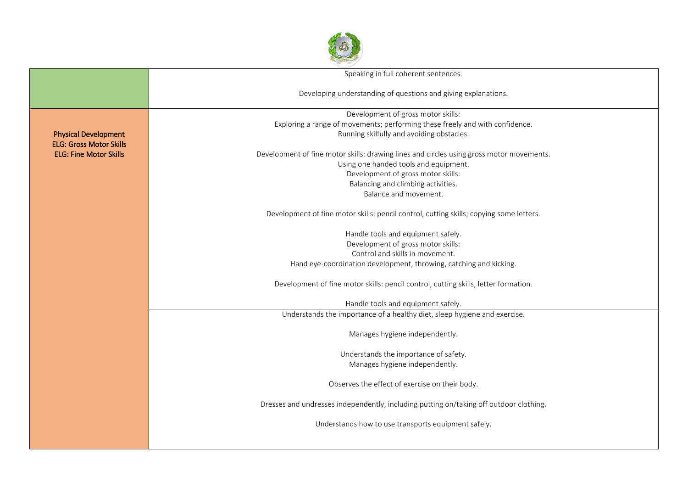

|                                | Speaking in full coherent sentences.                                                     |  |  |  |  |  |  |
|--------------------------------|------------------------------------------------------------------------------------------|--|--|--|--|--|--|
|                                |                                                                                          |  |  |  |  |  |  |
|                                | Developing understanding of questions and giving explanations.                           |  |  |  |  |  |  |
|                                |                                                                                          |  |  |  |  |  |  |
|                                | Development of gross motor skills:                                                       |  |  |  |  |  |  |
|                                | Exploring a range of movements; performing these freely and with confidence.             |  |  |  |  |  |  |
| <b>Physical Development</b>    | Running skilfully and avoiding obstacles.                                                |  |  |  |  |  |  |
| <b>ELG: Gross Motor Skills</b> |                                                                                          |  |  |  |  |  |  |
| <b>ELG: Fine Motor Skills</b>  | Development of fine motor skills: drawing lines and circles using gross motor movements. |  |  |  |  |  |  |
|                                | Using one handed tools and equipment.<br>Development of gross motor skills:              |  |  |  |  |  |  |
|                                | Balancing and climbing activities.                                                       |  |  |  |  |  |  |
|                                | Balance and movement.                                                                    |  |  |  |  |  |  |
|                                |                                                                                          |  |  |  |  |  |  |
|                                | Development of fine motor skills: pencil control, cutting skills; copying some letters.  |  |  |  |  |  |  |
|                                | Handle tools and equipment safely.                                                       |  |  |  |  |  |  |
|                                | Development of gross motor skills:                                                       |  |  |  |  |  |  |
|                                | Control and skills in movement.                                                          |  |  |  |  |  |  |
|                                | Hand eye-coordination development, throwing, catching and kicking.                       |  |  |  |  |  |  |
|                                | Development of fine motor skills: pencil control, cutting skills, letter formation.      |  |  |  |  |  |  |
|                                |                                                                                          |  |  |  |  |  |  |
|                                | Handle tools and equipment safely.                                                       |  |  |  |  |  |  |
|                                | Understands the importance of a healthy diet, sleep hygiene and exercise.                |  |  |  |  |  |  |
|                                | Manages hygiene independently.                                                           |  |  |  |  |  |  |
|                                |                                                                                          |  |  |  |  |  |  |
|                                | Understands the importance of safety.<br>Manages hygiene independently.                  |  |  |  |  |  |  |
|                                |                                                                                          |  |  |  |  |  |  |
|                                | Observes the effect of exercise on their body.                                           |  |  |  |  |  |  |
|                                |                                                                                          |  |  |  |  |  |  |
|                                | Dresses and undresses independently, including putting on/taking off outdoor clothing.   |  |  |  |  |  |  |
|                                | Understands how to use transports equipment safely.                                      |  |  |  |  |  |  |
|                                |                                                                                          |  |  |  |  |  |  |
|                                |                                                                                          |  |  |  |  |  |  |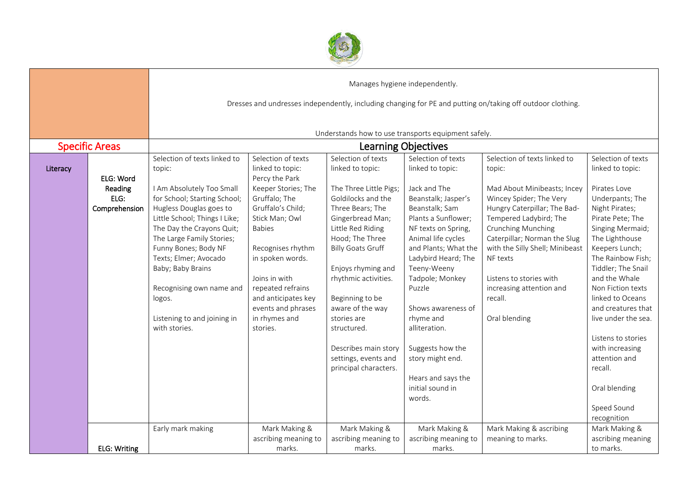

|          |                       | Manages hygiene independently.                                                                             |                                    |                                                     |                                        |                                 |                                     |  |  |
|----------|-----------------------|------------------------------------------------------------------------------------------------------------|------------------------------------|-----------------------------------------------------|----------------------------------------|---------------------------------|-------------------------------------|--|--|
|          |                       | Dresses and undresses independently, including changing for PE and putting on/taking off outdoor clothing. |                                    |                                                     |                                        |                                 |                                     |  |  |
|          |                       |                                                                                                            |                                    |                                                     |                                        |                                 |                                     |  |  |
|          |                       |                                                                                                            |                                    | Understands how to use transports equipment safely. |                                        |                                 |                                     |  |  |
|          | <b>Specific Areas</b> | <b>Learning Objectives</b>                                                                                 |                                    |                                                     |                                        |                                 |                                     |  |  |
|          |                       | Selection of texts linked to                                                                               | Selection of texts                 | Selection of texts                                  | Selection of texts                     | Selection of texts linked to    | Selection of texts                  |  |  |
| Literacy | ELG: Word             | topic:                                                                                                     | linked to topic:<br>Percy the Park | linked to topic:                                    | linked to topic:                       | topic:                          | linked to topic:                    |  |  |
|          | Reading               | I Am Absolutely Too Small                                                                                  | Keeper Stories; The                | The Three Little Pigs;                              | Jack and The                           | Mad About Minibeasts; Incey     | Pirates Love                        |  |  |
|          | ELG:                  | for School; Starting School;                                                                               | Gruffalo; The                      | Goldilocks and the                                  | Beanstalk; Jasper's                    | Wincey Spider; The Very         | Underpants; The                     |  |  |
|          | Comprehension         | Hugless Douglas goes to                                                                                    | Gruffalo's Child;                  | Three Bears; The                                    | Beanstalk; Sam                         | Hungry Caterpillar; The Bad-    | Night Pirates;                      |  |  |
|          |                       | Little School; Things I Like;                                                                              | Stick Man; Owl                     | Gingerbread Man;                                    | Plants a Sunflower;                    | Tempered Ladybird; The          | Pirate Pete; The                    |  |  |
|          |                       | The Day the Crayons Quit;                                                                                  | <b>Babies</b>                      | Little Red Riding                                   | NF texts on Spring,                    | Crunching Munching              | Singing Mermaid;                    |  |  |
|          |                       | The Large Family Stories;                                                                                  |                                    | Hood; The Three                                     | Animal life cycles                     | Caterpillar; Norman the Slug    | The Lighthouse                      |  |  |
|          |                       | Funny Bones; Body NF                                                                                       | Recognises rhythm                  | <b>Billy Goats Gruff</b>                            | and Plants; What the                   | with the Silly Shell; Minibeast | Keepers Lunch;                      |  |  |
|          |                       | Texts; Elmer; Avocado                                                                                      | in spoken words.                   |                                                     | Ladybird Heard; The                    | NF texts                        | The Rainbow Fish;                   |  |  |
|          |                       | Baby; Baby Brains                                                                                          | Joins in with                      | Enjoys rhyming and                                  | Teeny-Weeny                            | Listens to stories with         | Tiddler; The Snail<br>and the Whale |  |  |
|          |                       | Recognising own name and                                                                                   | repeated refrains                  | rhythmic activities.                                | Tadpole; Monkey<br>Puzzle              | increasing attention and        | Non Fiction texts                   |  |  |
|          |                       | logos.                                                                                                     | and anticipates key                | Beginning to be                                     |                                        | recall.                         | linked to Oceans                    |  |  |
|          |                       |                                                                                                            | events and phrases                 | aware of the way                                    | Shows awareness of                     |                                 | and creatures that                  |  |  |
|          |                       | Listening to and joining in                                                                                | in rhymes and                      | stories are                                         | rhyme and                              | Oral blending                   | live under the sea.                 |  |  |
|          |                       | with stories.                                                                                              | stories.                           | structured.                                         | alliteration.                          |                                 |                                     |  |  |
|          |                       |                                                                                                            |                                    |                                                     |                                        |                                 | Listens to stories                  |  |  |
|          |                       |                                                                                                            |                                    | Describes main story                                | Suggests how the                       |                                 | with increasing                     |  |  |
|          |                       |                                                                                                            |                                    | settings, events and                                | story might end.                       |                                 | attention and                       |  |  |
|          |                       |                                                                                                            |                                    | principal characters.                               |                                        |                                 | recall.                             |  |  |
|          |                       |                                                                                                            |                                    |                                                     | Hears and says the<br>initial sound in |                                 |                                     |  |  |
|          |                       |                                                                                                            |                                    |                                                     | words.                                 |                                 | Oral blending                       |  |  |
|          |                       |                                                                                                            |                                    |                                                     |                                        |                                 | Speed Sound                         |  |  |
|          |                       |                                                                                                            |                                    |                                                     |                                        |                                 | recognition                         |  |  |
|          |                       | Early mark making                                                                                          | Mark Making &                      | Mark Making &                                       | Mark Making &                          | Mark Making & ascribing         | Mark Making &                       |  |  |
|          |                       |                                                                                                            | ascribing meaning to               | ascribing meaning to                                | ascribing meaning to                   | meaning to marks.               | ascribing meaning                   |  |  |
|          | <b>ELG: Writing</b>   |                                                                                                            | marks.                             | marks.                                              | marks.                                 |                                 | to marks.                           |  |  |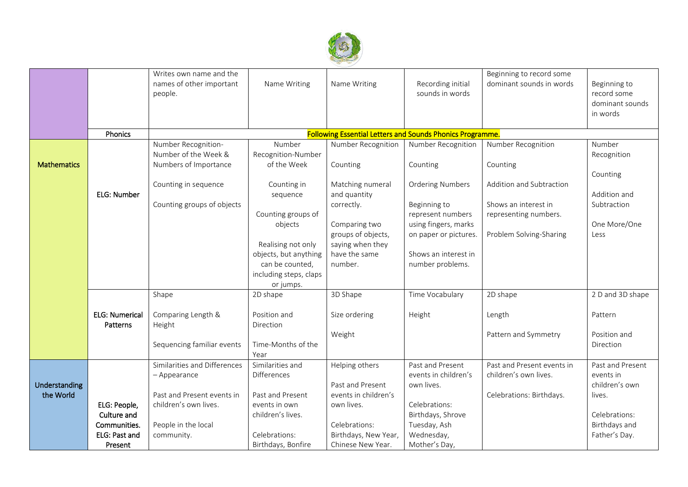

|                    |                       | Writes own name and the<br>names of other important<br>people. | Name Writing           | Name Writing         | Recording initial<br>sounds in words                             | Beginning to record some<br>dominant sounds in words | Beginning to<br>record some<br>dominant sounds |
|--------------------|-----------------------|----------------------------------------------------------------|------------------------|----------------------|------------------------------------------------------------------|------------------------------------------------------|------------------------------------------------|
|                    |                       |                                                                |                        |                      |                                                                  |                                                      | in words                                       |
|                    |                       |                                                                |                        |                      |                                                                  |                                                      |                                                |
|                    | Phonics               |                                                                |                        |                      | <b>Following Essential Letters and Sounds Phonics Programme.</b> |                                                      |                                                |
|                    |                       | Number Recognition-                                            | Number                 | Number Recognition   | Number Recognition                                               | Number Recognition                                   | Number                                         |
|                    |                       | Number of the Week &                                           | Recognition-Number     |                      |                                                                  |                                                      | Recognition                                    |
| <b>Mathematics</b> |                       | Numbers of Importance                                          | of the Week            | Counting             | Counting                                                         | Counting                                             |                                                |
|                    |                       |                                                                |                        |                      |                                                                  |                                                      | Counting                                       |
|                    |                       | Counting in sequence                                           | Counting in            | Matching numeral     | <b>Ordering Numbers</b>                                          | Addition and Subtraction                             |                                                |
|                    | ELG: Number           |                                                                | sequence               | and quantity         |                                                                  |                                                      | Addition and                                   |
|                    |                       | Counting groups of objects                                     |                        | correctly.           | Beginning to                                                     | Shows an interest in                                 | Subtraction                                    |
|                    |                       |                                                                | Counting groups of     |                      | represent numbers                                                | representing numbers.                                |                                                |
|                    |                       |                                                                | objects                | Comparing two        | using fingers, marks                                             |                                                      | One More/One                                   |
|                    |                       |                                                                |                        | groups of objects,   | on paper or pictures.                                            | Problem Solving-Sharing                              | Less                                           |
|                    |                       |                                                                | Realising not only     | saying when they     |                                                                  |                                                      |                                                |
|                    |                       |                                                                | objects, but anything  | have the same        | Shows an interest in                                             |                                                      |                                                |
|                    |                       |                                                                | can be counted,        | number.              | number problems.                                                 |                                                      |                                                |
|                    |                       |                                                                | including steps, claps |                      |                                                                  |                                                      |                                                |
|                    |                       |                                                                | or jumps.              |                      |                                                                  |                                                      |                                                |
|                    |                       | Shape                                                          | 2D shape               | 3D Shape             | Time Vocabulary                                                  | 2D shape                                             | 2 D and 3D shape                               |
|                    | <b>ELG: Numerical</b> | Comparing Length &                                             | Position and           | Size ordering        |                                                                  |                                                      | Pattern                                        |
|                    | Patterns              | Height                                                         | Direction              |                      | Height                                                           | Length                                               |                                                |
|                    |                       |                                                                |                        | Weight               |                                                                  | Pattern and Symmetry                                 | Position and                                   |
|                    |                       | Sequencing familiar events                                     | Time-Months of the     |                      |                                                                  |                                                      | Direction                                      |
|                    |                       |                                                                | Year                   |                      |                                                                  |                                                      |                                                |
|                    |                       | Similarities and Differences                                   | Similarities and       | Helping others       | Past and Present                                                 | Past and Present events in                           | Past and Present                               |
|                    |                       | - Appearance                                                   | <b>Differences</b>     |                      | events in children's                                             | children's own lives.                                | events in                                      |
| Understanding      |                       |                                                                |                        | Past and Present     | own lives.                                                       |                                                      | children's own                                 |
| the World          |                       | Past and Present events in                                     | Past and Present       | events in children's |                                                                  | Celebrations: Birthdays.                             | lives.                                         |
|                    | ELG: People,          | children's own lives.                                          | events in own          | own lives.           | Celebrations:                                                    |                                                      |                                                |
|                    | Culture and           |                                                                | children's lives.      |                      | Birthdays, Shrove                                                |                                                      | Celebrations:                                  |
|                    | Communities.          | People in the local                                            |                        | Celebrations:        | Tuesday, Ash                                                     |                                                      | Birthdays and                                  |
|                    | ELG: Past and         | community.                                                     | Celebrations:          | Birthdays, New Year, | Wednesday,                                                       |                                                      | Father's Day.                                  |
|                    | Present               |                                                                | Birthdays, Bonfire     | Chinese New Year.    | Mother's Day,                                                    |                                                      |                                                |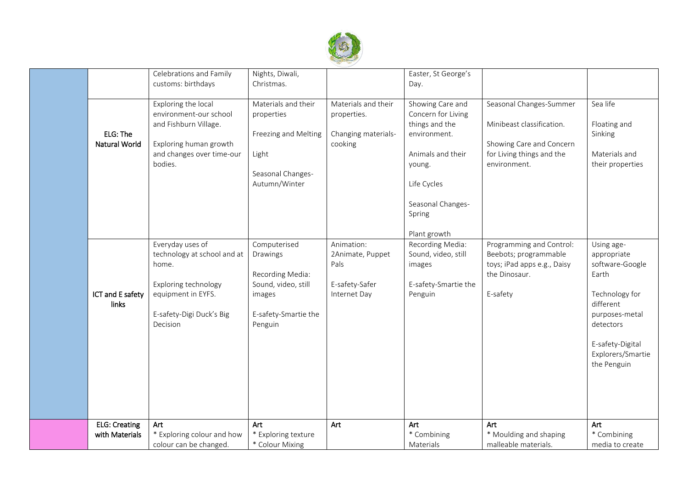

|                      | Celebrations and Family     | Nights, Diwali,      |                     | Easter, St George's  |                             |                   |
|----------------------|-----------------------------|----------------------|---------------------|----------------------|-----------------------------|-------------------|
|                      | customs: birthdays          | Christmas.           |                     | Day.                 |                             |                   |
|                      |                             |                      |                     |                      |                             |                   |
|                      | Exploring the local         | Materials and their  | Materials and their | Showing Care and     | Seasonal Changes-Summer     | Sea life          |
|                      | environment-our school      | properties           | properties.         | Concern for Living   |                             |                   |
|                      | and Fishburn Village.       |                      |                     | things and the       | Minibeast classification.   | Floating and      |
|                      |                             |                      |                     |                      |                             |                   |
| ELG: The             |                             | Freezing and Melting | Changing materials- | environment.         |                             | Sinking           |
| <b>Natural World</b> | Exploring human growth      |                      | cooking             |                      | Showing Care and Concern    |                   |
|                      | and changes over time-our   | Light                |                     | Animals and their    | for Living things and the   | Materials and     |
|                      | bodies.                     |                      |                     | young.               | environment.                | their properties  |
|                      |                             | Seasonal Changes-    |                     |                      |                             |                   |
|                      |                             | Autumn/Winter        |                     | Life Cycles          |                             |                   |
|                      |                             |                      |                     |                      |                             |                   |
|                      |                             |                      |                     | Seasonal Changes-    |                             |                   |
|                      |                             |                      |                     | Spring               |                             |                   |
|                      |                             |                      |                     |                      |                             |                   |
|                      |                             |                      |                     | Plant growth         |                             |                   |
|                      | Everyday uses of            | Computerised         | Animation:          | Recording Media:     | Programming and Control:    | Using age-        |
|                      | technology at school and at | Drawings             | 2Animate, Puppet    | Sound, video, still  | Beebots; programmable       | appropriate       |
|                      | home.                       |                      | Pals                | images               | toys; iPad apps e.g., Daisy | software-Google   |
|                      |                             | Recording Media:     |                     |                      | the Dinosaur.               | Earth             |
|                      | Exploring technology        | Sound, video, still  | E-safety-Safer      | E-safety-Smartie the |                             |                   |
| ICT and E safety     | equipment in EYFS.          | images               | Internet Day        | Penguin              | E-safety                    | Technology for    |
| links                |                             |                      |                     |                      |                             | different         |
|                      | E-safety-Digi Duck's Big    | E-safety-Smartie the |                     |                      |                             | purposes-metal    |
|                      | Decision                    | Penguin              |                     |                      |                             | detectors         |
|                      |                             |                      |                     |                      |                             |                   |
|                      |                             |                      |                     |                      |                             | E-safety-Digital  |
|                      |                             |                      |                     |                      |                             | Explorers/Smartie |
|                      |                             |                      |                     |                      |                             |                   |
|                      |                             |                      |                     |                      |                             | the Penguin       |
|                      |                             |                      |                     |                      |                             |                   |
|                      |                             |                      |                     |                      |                             |                   |
|                      |                             |                      |                     |                      |                             |                   |
|                      |                             |                      |                     |                      |                             |                   |
|                      |                             |                      |                     |                      |                             |                   |
| <b>ELG: Creating</b> | Art                         | Art                  | Art                 | Art                  | Art                         | Art               |
| with Materials       | * Exploring colour and how  | * Exploring texture  |                     | * Combining          | * Moulding and shaping      | * Combining       |
|                      | colour can be changed.      | * Colour Mixing      |                     | Materials            | malleable materials.        | media to create   |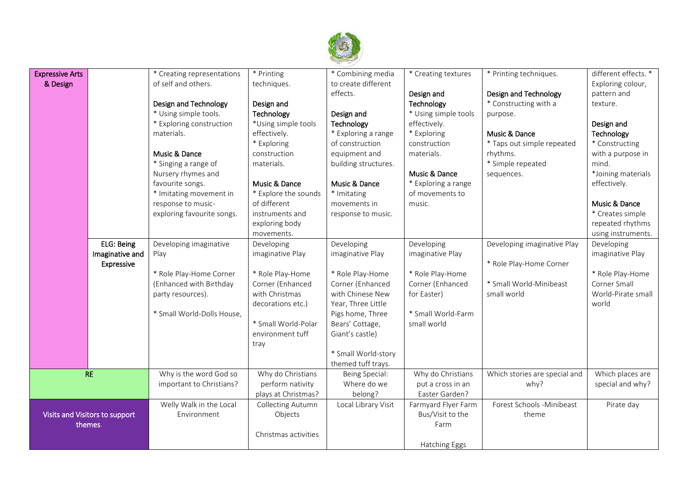

| <b>Expressive Arts</b>         |                 | * Creating representations | * Printing           | * Combining media    | * Creating textures  | * Printing techniques.        | different effects. * |
|--------------------------------|-----------------|----------------------------|----------------------|----------------------|----------------------|-------------------------------|----------------------|
| & Design                       |                 | of self and others.        | techniques.          | to create different  |                      |                               | Exploring colour,    |
|                                |                 |                            |                      | effects.             | Design and           | Design and Technology         | pattern and          |
|                                |                 | Design and Technology      | Design and           |                      | Technology           | * Constructing with a         | texture.             |
|                                |                 | * Using simple tools.      | Technology           | Design and           | * Using simple tools | purpose.                      |                      |
|                                |                 | * Exploring construction   | *Using simple tools  | Technology           | effectively.         |                               | Design and           |
|                                |                 | materials.                 | effectively.         | * Exploring a range  | * Exploring          | Music & Dance                 | Technology           |
|                                |                 |                            | * Exploring          | of construction      | construction         | * Taps out simple repeated    | * Constructing       |
|                                |                 | Music & Dance              | construction         | equipment and        | materials.           | rhythms.                      | with a purpose in    |
|                                |                 | * Singing a range of       | materials.           | building structures. |                      | * Simple repeated             | mind.                |
|                                |                 | Nursery rhymes and         |                      |                      | Music & Dance        | sequences.                    | *Joining materials   |
|                                |                 | favourite songs.           | Music & Dance        | Music & Dance        | * Exploring a range  |                               | effectively.         |
|                                |                 | * Imitating movement in    | * Explore the sounds | * Imitating          | of movements to      |                               |                      |
|                                |                 | response to music-         | of different         | movements in         | music.               |                               | Music & Dance        |
|                                |                 | exploring favourite songs. | instruments and      | response to music.   |                      |                               | * Creates simple     |
|                                |                 |                            | exploring body       |                      |                      |                               | repeated rhythms     |
|                                |                 |                            | movements.           |                      |                      |                               | using instruments.   |
|                                | ELG: Being      | Developing imaginative     | Developing           | Developing           | Developing           | Developing imaginative Play   | Developing           |
|                                | Imaginative and | Play                       | imaginative Play     | imaginative Play     | imaginative Play     |                               | imaginative Play     |
|                                | Expressive      |                            |                      |                      |                      | * Role Play-Home Corner       |                      |
|                                |                 | * Role Play-Home Corner    | * Role Play-Home     | * Role Play-Home     | * Role Play-Home     |                               | * Role Play-Home     |
|                                |                 | (Enhanced with Birthday    | Corner (Enhanced     | Corner (Enhanced     | Corner (Enhanced     | * Small World-Minibeast       | Corner Small         |
|                                |                 | party resources).          | with Christmas       | with Chinese New     | for Easter)          | small world                   | World-Pirate small   |
|                                |                 |                            | decorations etc.)    | Year, Three Little   |                      |                               | world                |
|                                |                 | * Small World-Dolls House, |                      | Pigs home, Three     | * Small World-Farm   |                               |                      |
|                                |                 |                            | * Small World-Polar  | Bears' Cottage,      | small world          |                               |                      |
|                                |                 |                            | environment tuff     | Giant's castle)      |                      |                               |                      |
|                                |                 |                            | tray                 |                      |                      |                               |                      |
|                                |                 |                            |                      | * Small World-story  |                      |                               |                      |
|                                |                 |                            |                      | themed tuff trays.   |                      |                               |                      |
| <b>RE</b>                      |                 | Why is the word God so     | Why do Christians    | Being Special:       | Why do Christians    | Which stories are special and | Which places are     |
|                                |                 | important to Christians?   | perform nativity     | Where do we          | put a cross in an    | why?                          | special and why?     |
|                                |                 |                            | plays at Christmas?  | belong?              | Easter Garden?       |                               |                      |
|                                |                 | Welly Walk in the Local    | Collecting Autumn    | Local Library Visit  | Farmyard Flyer Farm  | Forest Schools - Minibeast    | Pirate day           |
| Visits and Visitors to support |                 | Environment                | Objects              |                      | Bus/Visit to the     | theme                         |                      |
| themes.                        |                 |                            |                      |                      | Farm                 |                               |                      |
|                                |                 |                            | Christmas activities |                      |                      |                               |                      |
|                                |                 |                            |                      |                      | Hatching Eggs        |                               |                      |